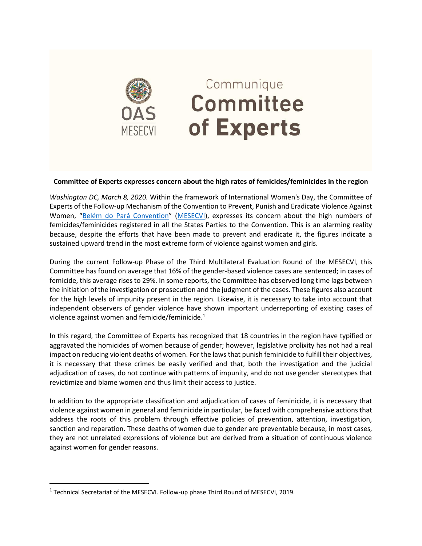

## Communique Committee of Experts

## **Committee of Experts expresses concern about the high rates of femicides/feminicides in the region**

*Washington DC, March 8, 2020.* Within the framework of International Women's Day, the Committee of Experts of the Follow-up Mechanism of the Convention to Prevent, Punish and Eradicate Violence Against Women, "[Belém do Pará Convention](http://www.oas.org/en/mesecvi/convention.asp)" ([MESECVI\)](http://www.oas.org/en/mesecvi/default.asp), expresses its concern about the high numbers of femicides/feminicides registered in all the States Parties to the Convention. This is an alarming reality because, despite the efforts that have been made to prevent and eradicate it, the figures indicate a sustained upward trend in the most extreme form of violence against women and girls.

During the current Follow-up Phase of the Third Multilateral Evaluation Round of the MESECVI, this Committee has found on average that 16% of the gender-based violence cases are sentenced; in cases of femicide, this average rises to 29%. In some reports, the Committee has observed long time lags between the initiation of the investigation or prosecution and the judgment of the cases. These figures also account for the high levels of impunity present in the region. Likewise, it is necessary to take into account that independent observers of gender violence have shown important underreporting of existing cases of violence against women and femicide/feminicide. $^{1}$ 

In this regard, the Committee of Experts has recognized that 18 countries in the region have typified or aggravated the homicides of women because of gender; however, legislative prolixity has not had a real impact on reducing violent deaths of women. For the laws that punish feminicide to fulfill their objectives, it is necessary that these crimes be easily verified and that, both the investigation and the judicial adjudication of cases, do not continue with patterns of impunity, and do not use gender stereotypes that revictimize and blame women and thus limit their access to justice.

In addition to the appropriate classification and adjudication of cases of feminicide, it is necessary that violence against women in general and feminicide in particular, be faced with comprehensive actions that address the roots of this problem through effective policies of prevention, attention, investigation, sanction and reparation. These deaths of women due to gender are preventable because, in most cases, they are not unrelated expressions of violence but are derived from a situation of continuous violence against women for gender reasons.

 $\overline{\phantom{a}}$ 

 $^1$  Technical Secretariat of the MESECVI. Follow-up phase Third Round of MESECVI, 2019.